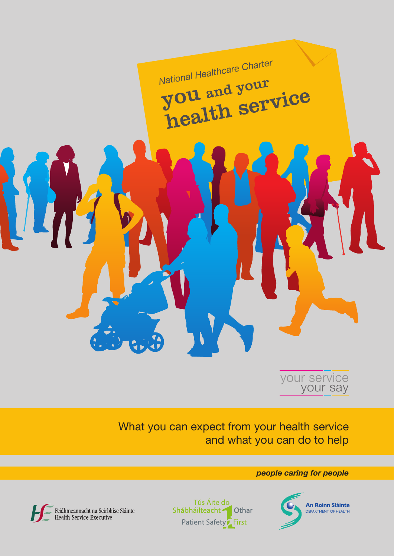



What you can expect from your health service and what you can do to help

*people caring for people*



Feidhmeannacht na Seirbhíse Sláinte<br>Health Service Executive

Tús Áite do Shábháilteacht -Othar **Patient Safety** First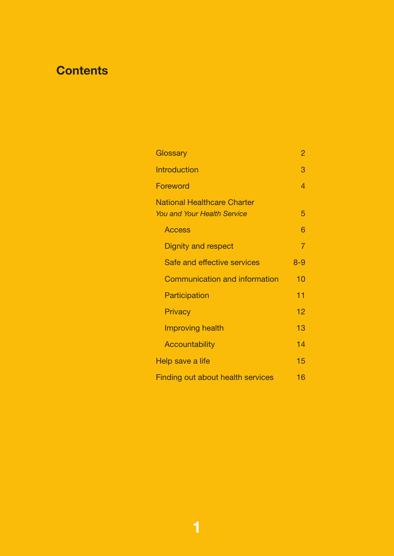# **Contents**

| Glossary                                                                 |         |  |  |
|--------------------------------------------------------------------------|---------|--|--|
| <b>Introduction</b>                                                      |         |  |  |
| <b>Foreword</b>                                                          |         |  |  |
| <b>National Healthcare Charter</b><br><b>You and Your Health Service</b> | 5       |  |  |
| <b>Access</b>                                                            | 6       |  |  |
| <b>Dignity and respect</b>                                               | 7       |  |  |
| Safe and effective services                                              | $8 - 9$ |  |  |
| <b>Communication and information</b>                                     | 10      |  |  |
| Participation                                                            | 11      |  |  |
| Privacy                                                                  | 12      |  |  |
| <b>Improving health</b>                                                  | 13      |  |  |
| <b>Accountability</b>                                                    | 14      |  |  |
| Help save a life                                                         |         |  |  |
| <b>Finding out about health services</b>                                 |         |  |  |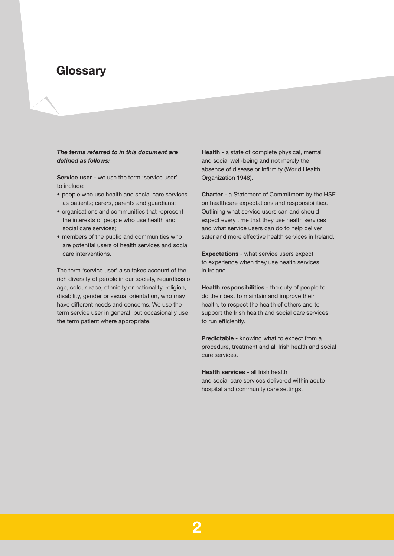# **Glossary**

### *The terms referred to in this document are defined as follows:*

**Service user** - we use the term 'service user' to include:

- people who use health and social care services as patients; carers, parents and guardians;
- organisations and communities that represent the interests of people who use health and social care services;
- members of the public and communities who are potential users of health services and social care interventions.

The term 'service user' also takes account of the rich diversity of people in our society, regardless of age, colour, race, ethnicity or nationality, religion, disability, gender or sexual orientation, who may have different needs and concerns. We use the term service user in general, but occasionally use the term patient where appropriate.

**Health** - a state of complete physical, mental and social well-being and not merely the absence of disease or infirmity (World Health Organization 1948).

**Charter** - a Statement of Commitment by the HSE on healthcare expectations and responsibilities. Outlining what service users can and should expect every time that they use health services and what service users can do to help deliver safer and more effective health services in Ireland.

**Expectations** - what service users expect to experience when they use health services in Ireland.

**Health responsibilities** - the duty of people to do their best to maintain and improve their health, to respect the health of others and to support the Irish health and social care services to run efficiently.

**Predictable** - knowing what to expect from a procedure, treatment and all Irish health and social care services.

**Health services** - all Irish health and social care services delivered within acute hospital and community care settings.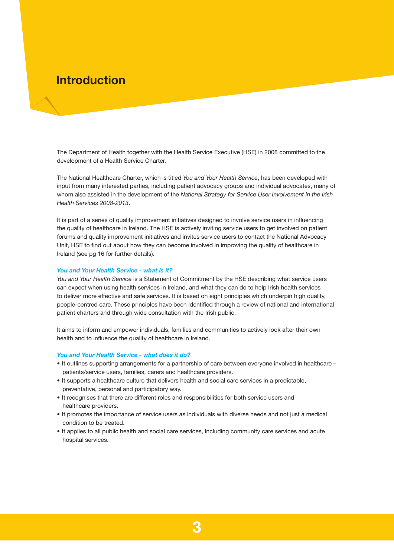# **Introduction**

The Department of Health together with the Health Service Executive (HSE) in 2008 committed to the development of a Health Service Charter.

The National Healthcare Charter, which is titled *You and Your Health Service*, has been developed with input from many interested parties, including patient advocacy groups and individual advocates, many of whom also assisted in the development of the *National Strategy for Service User Involvement in the Irish Health Services 2008-2013*.

It is part of a series of quality improvement initiatives designed to involve service users in influencing the quality of healthcare in Ireland. The HSE is actively inviting service users to get involved on patient forums and quality improvement initiatives and invites service users to contact the National Advocacy Unit, HSE to find out about how they can become involved in improving the quality of healthcare in Ireland (see pg 16 for further details).

### *You and Your Health Service - what is it?*

*You and Your Health Service* is a Statement of Commitment by the HSE describing what service users can expect when using health services in Ireland, and what they can do to help Irish health services to deliver more effective and safe services. It is based on eight principles which underpin high quality, people-centred care. These principles have been identified through a review of national and international patient charters and through wide consultation with the Irish public.

It aims to inform and empower individuals, families and communities to actively look after their own health and to influence the quality of healthcare in Ireland.

#### *You and Your Health Service - what does it do?*

- It outlines supporting arrangements for a partnership of care between everyone involved in healthcare patients/service users, families, carers and healthcare providers.
- It supports a healthcare culture that delivers health and social care services in a predictable, preventative, personal and participatory way.
- It recognises that there are different roles and responsibilities for both service users and healthcare providers.
- • It promotes the importance of service users as individuals with diverse needs and not just a medical condition to be treated.
- • It applies to all public health and social care services, including community care services and acute hospital services.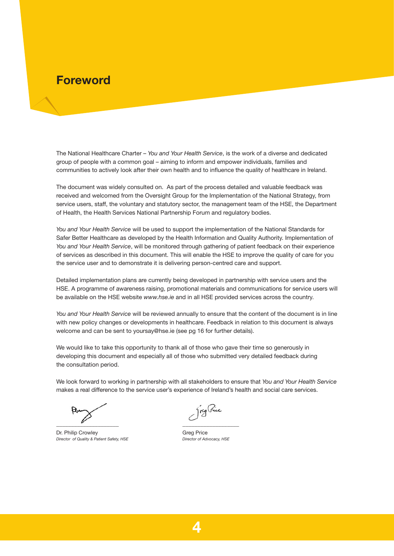# **Foreword**

The National Healthcare Charter – *You and Your Health Service*, is the work of a diverse and dedicated group of people with a common goal – aiming to inform and empower individuals, families and communities to actively look after their own health and to influence the quality of healthcare in Ireland.

The document was widely consulted on. As part of the process detailed and valuable feedback was received and welcomed from the Oversight Group for the Implementation of the National Strategy, from service users, staff, the voluntary and statutory sector, the management team of the HSE, the Department of Health, the Health Services National Partnership Forum and regulatory bodies.

*You and Your Health Service* will be used to support the implementation of the National Standards for Safer Better Healthcare as developed by the Health Information and Quality Authority. Implementation of *You and Your Health Service*, will be monitored through gathering of patient feedback on their experience of services as described in this document. This will enable the HSE to improve the quality of care for you the service user and to demonstrate it is delivering person-centred care and support.

Detailed implementation plans are currently being developed in partnership with service users and the HSE. A programme of awareness raising, promotional materials and communications for service users will be available on the HSE website *www.hse.ie* and in all HSE provided services across the country.

*You and Your Health Service* will be reviewed annually to ensure that the content of the document is in line with new policy changes or developments in healthcare. Feedback in relation to this document is always welcome and can be sent to yoursay@hse.ie (see pg 16 for further details).

We would like to take this opportunity to thank all of those who gave their time so generously in developing this document and especially all of those who submitted very detailed feedback during the consultation period.

We look forward to working in partnership with all stakeholders to ensure that *You and Your Health Service*  makes a real difference to the service user's experience of Ireland's health and social care services.

 $\overline{\phantom{a}}$ 

Dr. Philip Crowley *Director of Quality & Patient Safety, HSE*

greg Pice \_\_\_\_\_\_\_\_\_\_\_\_\_\_\_\_\_\_\_

Greg Price *Director of Advocacy, HSE*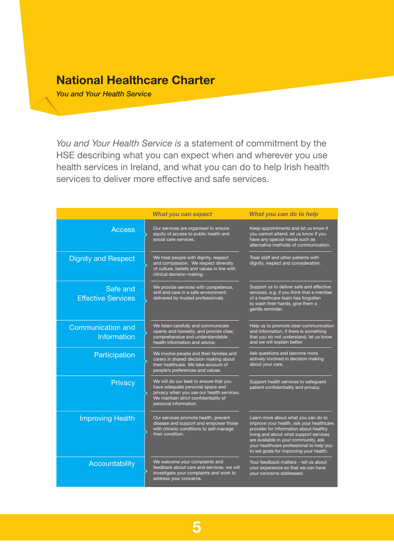# **National Healthcare Charter**

*You and Your Health Service*

*You and Your Health Service is* a statement of commitment by the HSE describing what you can expect when and wherever you use health services in Ireland, and what you can do to help Irish health services to deliver more effective and safe services.

|                                         | <b>What you can expect</b>                                                                                                                                                                | What you can do to help                                                                                                                                                                                                                                                                            |
|-----------------------------------------|-------------------------------------------------------------------------------------------------------------------------------------------------------------------------------------------|----------------------------------------------------------------------------------------------------------------------------------------------------------------------------------------------------------------------------------------------------------------------------------------------------|
| <b>Access</b>                           | Our services are organised to ensure<br>equity of access to public health and<br>social care services.                                                                                    | Keep appointments and let us know if<br>you cannot attend, let us know if you<br>have any special needs such as<br>alternative methods of communication.                                                                                                                                           |
| <b>Dignity and Respect</b>              | We treat people with dignity, respect<br>and compassion. We respect diversity<br>of culture, beliefs and values in line with<br>clinical decision making.                                 | Treat staff and other patients with<br>dignity, respect and consideration.                                                                                                                                                                                                                         |
| Safe and<br><b>Effective Services</b>   | We provide services with competence,<br>skill and care in a safe environment,<br>delivered by trusted professionals.                                                                      | Support us to deliver safe and effective<br>services, e.g. if you think that a member<br>of a healthcare team has forgotten<br>to wash their hands, give them a<br>gentle reminder.                                                                                                                |
| <b>Communication and</b><br>Information | We listen carefully and communicate<br>openly and honestly, and provide clear,<br>comprehensive and understandable<br>health information and advice.                                      | Help us to promote clear communication<br>and information, if there is something<br>that you do not understand, let us know<br>and we will explain better.                                                                                                                                         |
| Participation                           | We involve people and their families and<br>carers in shared decision making about<br>their healthcare. We take account of<br>people's preferences and values.                            | Ask questions and become more<br>actively involved in decision making<br>about your care.                                                                                                                                                                                                          |
| Privacy                                 | We will do our best to ensure that you<br>have adequate personal space and<br>privacy when you use our health services.<br>We maintain strict confidentiality of<br>personal information. | Support health services to safeguard<br>patient confidentiality and privacy.                                                                                                                                                                                                                       |
| <b>Improving Health</b>                 | Our services promote health, prevent<br>disease and support and empower those<br>with chronic conditions to self-manage<br>their condition.                                               | Learn more about what you can do to<br>improve your health, ask your healthcare<br>provider for information about healthy<br>living and about what support services<br>are available in your community, ask<br>your healthcare professional to help you<br>to set goals for improving your health. |
| Accountability                          | We welcome your complaints and<br>feedback about care and services, we will<br>investigate your complaints and work to<br>address your concerns.                                          | Your feedback matters - tell us about<br>your experience so that we can have<br>your concerns addressed.                                                                                                                                                                                           |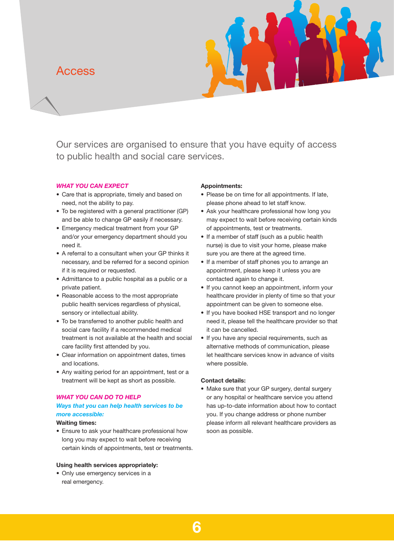## Access



Our services are organised to ensure that you have equity of access to public health and social care services.

### *WHAT YOU CAN EXPECT*

- Care that is appropriate, timely and based on need, not the ability to pay.
- To be registered with a general practitioner (GP) and be able to change GP easily if necessary.
- Emergency medical treatment from your GP and/or your emergency department should you need it.
- A referral to a consultant when your GP thinks it necessary, and be referred for a second opinion if it is required or requested.
- Admittance to a public hospital as a public or a private patient.
- Reasonable access to the most appropriate public health services regardless of physical, sensory or intellectual ability.
- To be transferred to another public health and social care facility if a recommended medical treatment is not available at the health and social care facility first attended by you.
- Clear information on appointment dates, times and locations.
- Any waiting period for an appointment, test or a treatment will be kept as short as possible.

### *WHAT YOU CAN DO TO HELP*

## *Ways that you can help health services to be more accessible:*

## **Waiting times:**

• Ensure to ask your healthcare professional how long you may expect to wait before receiving certain kinds of appointments, test or treatments.

#### **Using health services appropriately:**

• Only use emergency services in a real emergency.

### **Appointments:**

- Please be on time for all appointments. If late, please phone ahead to let staff know.
- Ask your healthcare professional how long you may expect to wait before receiving certain kinds of appointments, test or treatments.
- If a member of staff (such as a public health nurse) is due to visit your home, please make sure you are there at the agreed time.
- If a member of staff phones you to arrange an appointment, please keep it unless you are contacted again to change it.
- If you cannot keep an appointment, inform your healthcare provider in plenty of time so that your appointment can be given to someone else.
- If you have booked HSE transport and no longer need it, please tell the healthcare provider so that it can be cancelled.
- If you have any special requirements, such as alternative methods of communication, please let healthcare services know in advance of visits where possible.

### **Contact details:**

• Make sure that your GP surgery, dental surgery or any hospital or healthcare service you attend has up-to-date information about how to contact you. If you change address or phone number please inform all relevant healthcare providers as soon as possible.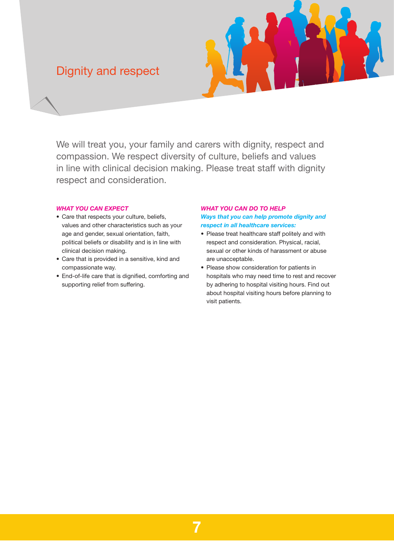# Dignity and respect



We will treat you, your family and carers with dignity, respect and compassion. We respect diversity of culture, beliefs and values in line with clinical decision making. Please treat staff with dignity respect and consideration.

## *WHAT YOU CAN EXPECT*

- Care that respects your culture, beliefs, values and other characteristics such as your age and gender, sexual orientation, faith, political beliefs or disability and is in line with clinical decision making.
- Care that is provided in a sensitive, kind and compassionate way.
- End-of-life care that is dignified, comforting and supporting relief from suffering.

### *WHAT YOU CAN DO TO HELP Ways that you can help promote dignity and respect in all healthcare services:*

- Please treat healthcare staff politely and with respect and consideration. Physical, racial, sexual or other kinds of harassment or abuse are unacceptable.
- Please show consideration for patients in hospitals who may need time to rest and recover by adhering to hospital visiting hours. Find out about hospital visiting hours before planning to visit patients.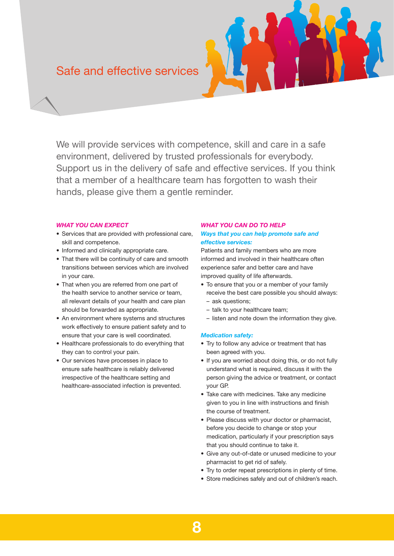# Safe and effective services

We will provide services with competence, skill and care in a safe environment, delivered by trusted professionals for everybody. Support us in the delivery of safe and effective services. If you think that a member of a healthcare team has forgotten to wash their hands, please give them a gentle reminder.

### *WHAT YOU CAN EXPECT*

- Services that are provided with professional care, skill and competence.
- Informed and clinically appropriate care.
- That there will be continuity of care and smooth transitions between services which are involved in your care.
- That when you are referred from one part of the health service to another service or team, all relevant details of your health and care plan should be forwarded as appropriate.
- An environment where systems and structures work effectively to ensure patient safety and to ensure that your care is well coordinated.
- Healthcare professionals to do everything that they can to control your pain.
- Our services have processes in place to ensure safe healthcare is reliably delivered irrespective of the healthcare setting and healthcare-associated infection is prevented.

### *WHAT YOU CAN DO TO HELP Ways that you can help promote safe and effective services:*

Patients and family members who are more informed and involved in their healthcare often experience safer and better care and have improved quality of life afterwards.

- To ensure that you or a member of your family receive the best care possible you should always:
	- ask questions;
	- talk to your healthcare team;
	- listen and note down the information they give.

### *Medication safety:*

- Try to follow any advice or treatment that has been agreed with you.
- If you are worried about doing this, or do not fully understand what is required, discuss it with the person giving the advice or treatment, or contact your GP.
- Take care with medicines. Take any medicine given to you in line with instructions and finish the course of treatment.
- Please discuss with your doctor or pharmacist, before you decide to change or stop your medication, particularly if your prescription says that you should continue to take it.
- Give any out-of-date or unused medicine to your pharmacist to get rid of safely.
- Try to order repeat prescriptions in plenty of time.
- Store medicines safely and out of children's reach.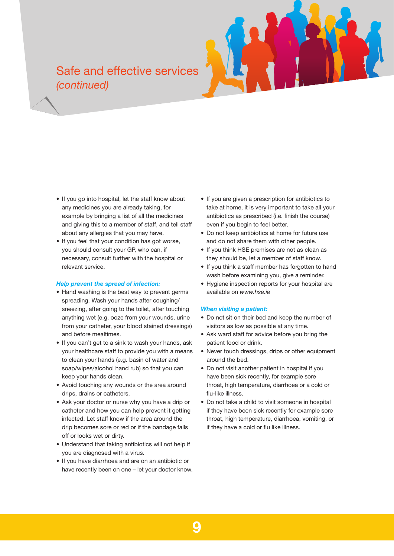# Safe and effective services *(continued)*

- If you go into hospital, let the staff know about any medicines you are already taking, for example by bringing a list of all the medicines and giving this to a member of staff, and tell staff about any allergies that you may have.
- If you feel that your condition has got worse, you should consult your GP, who can, if necessary, consult further with the hospital or relevant service.

#### *Help prevent the spread of infection:*

- Hand washing is the best way to prevent germs spreading. Wash your hands after coughing/ sneezing, after going to the toilet, after touching anything wet (e.g. ooze from your wounds, urine from your catheter, your blood stained dressings) and before mealtimes.
- If you can't get to a sink to wash your hands, ask your healthcare staff to provide you with a means to clean your hands (e.g. basin of water and soap/wipes/alcohol hand rub) so that you can keep your hands clean.
- Avoid touching any wounds or the area around drips, drains or catheters.
- Ask your doctor or nurse why you have a drip or catheter and how you can help prevent it getting infected. Let staff know if the area around the drip becomes sore or red or if the bandage falls off or looks wet or dirty.
- Understand that taking antibiotics will not help if you are diagnosed with a virus.
- If you have diarrhoea and are on an antibiotic or have recently been on one – let your doctor know.
- If you are given a prescription for antibiotics to take at home, it is very important to take all your antibiotics as prescribed (i.e. finish the course) even if you begin to feel better.
- Do not keep antibiotics at home for future use and do not share them with other people.
- If you think HSE premises are not as clean as they should be, let a member of staff know.
- If you think a staff member has forgotten to hand wash before examining you, give a reminder.
- Hygiene inspection reports for your hospital are available on *www.hse.ie*

### *When visiting a patient:*

- • Do not sit on their bed and keep the number of visitors as low as possible at any time.
- Ask ward staff for advice before you bring the patient food or drink.
- Never touch dressings, drips or other equipment around the bed.
- Do not visit another patient in hospital if you have been sick recently, for example sore throat, high temperature, diarrhoea or a cold or flu-like illness.
- Do not take a child to visit someone in hospital if they have been sick recently for example sore throat, high temperature, diarrhoea, vomiting, or if they have a cold or flu like illness.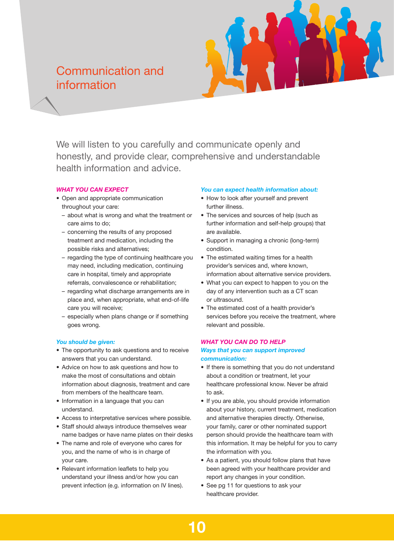# Communication and information



We will listen to you carefully and communicate openly and honestly, and provide clear, comprehensive and understandable health information and advice.

### *WHAT YOU CAN EXPECT*

- Open and appropriate communication throughout your care:
	- about what is wrong and what the treatment or care aims to do;
	- concerning the results of any proposed treatment and medication, including the possible risks and alternatives;
	- regarding the type of continuing healthcare you may need, including medication, continuing care in hospital, timely and appropriate referrals, convalescence or rehabilitation;
	- regarding what discharge arrangements are in place and, when appropriate, what end-of-life care you will receive;
	- especially when plans change or if something goes wrong.

### *You should be given:*

- The opportunity to ask questions and to receive answers that you can understand.
- Advice on how to ask questions and how to make the most of consultations and obtain information about diagnosis, treatment and care from members of the healthcare team.
- Information in a language that you can understand.
- Access to interpretative services where possible.
- Staff should always introduce themselves wear name badges or have name plates on their desks
- The name and role of everyone who cares for you, and the name of who is in charge of your care.
- Relevant information leaflets to help you understand your illness and/or how you can prevent infection (e.g. information on IV lines).

### *You can expect health information about:*

- How to look after yourself and prevent further illness.
- The services and sources of help (such as further information and self-help groups) that are available.
- Support in managing a chronic (long-term) condition.
- The estimated waiting times for a health provider's services and, where known, information about alternative service providers.
- What you can expect to happen to you on the day of any intervention such as a CT scan or ultrasound.
- The estimated cost of a health provider's services before you receive the treatment, where relevant and possible.

### *WHAT YOU CAN DO TO HELP*

### *Ways that you can support improved communication:*

- If there is something that you do not understand about a condition or treatment, let your healthcare professional know. Never be afraid to ask.
- If you are able, you should provide information about your history, current treatment, medication and alternative therapies directly. Otherwise, your family, carer or other nominated support person should provide the healthcare team with this information. It may be helpful for you to carry the information with you.
- As a patient, you should follow plans that have been agreed with your healthcare provider and report any changes in your condition.
- See pg 11 for questions to ask your healthcare provider.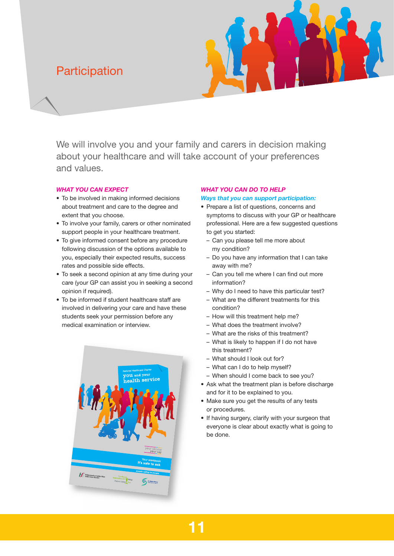# **Participation**



We will involve you and your family and carers in decision making about your healthcare and will take account of your preferences and values.

### *WHAT YOU CAN EXPECT*

- To be involved in making informed decisions about treatment and care to the degree and extent that you choose.
- To involve your family, carers or other nominated support people in your healthcare treatment.
- To give informed consent before any procedure following discussion of the options available to you, especially their expected results, success rates and possible side effects.
- To seek a second opinion at any time during your care (your GP can assist you in seeking a second opinion if required).
- To be informed if student healthcare staff are involved in delivering your care and have these students seek your permission before any medical examination or interview.



### *WHAT YOU CAN DO TO HELP*

### *Ways that you can support participation:*

- Prepare a list of questions, concerns and symptoms to discuss with your GP or healthcare professional. Here are a few suggested questions to get you started:
	- Can you please tell me more about my condition?
	- $-$  Do you have any information that I can take away with me?
	- Can you tell me where I can find out more information?
	- Why do I need to have this particular test?
	- – What are the different treatments for this condition?
	- How will this treatment help me?
	- What does the treatment involve?
	- What are the risks of this treatment?
	- What is likely to happen if I do not have this treatment?
	- What should I look out for?
	- What can I do to help myself?
	- When should I come back to see you?
- Ask what the treatment plan is before discharge and for it to be explained to you.
- Make sure you get the results of any tests or procedures.
- If having surgery, clarify with your surgeon that everyone is clear about exactly what is going to be done.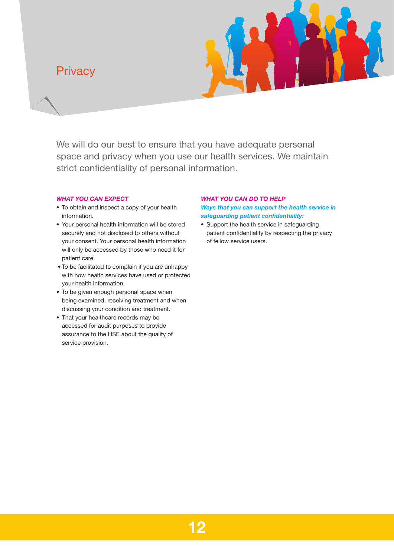# **Privacy**



We will do our best to ensure that you have adequate personal space and privacy when you use our health services. We maintain strict confidentiality of personal information.

### *WHAT YOU CAN EXPECT*

- To obtain and inspect a copy of your health information.
- Your personal health information will be stored securely and not disclosed to others without your consent. Your personal health information will only be accessed by those who need it for patient care.
- To be facilitated to complain if you are unhappy with how health services have used or protected your health information.
- To be given enough personal space when being examined, receiving treatment and when discussing your condition and treatment.
- That your healthcare records may be accessed for audit purposes to provide assurance to the HSE about the quality of service provision.

## *WHAT YOU CAN DO TO HELP Ways that you can support the health service in safeguarding patient confidentiality:*

• Support the health service in safeguarding patient confidentiality by respecting the privacy of fellow service users.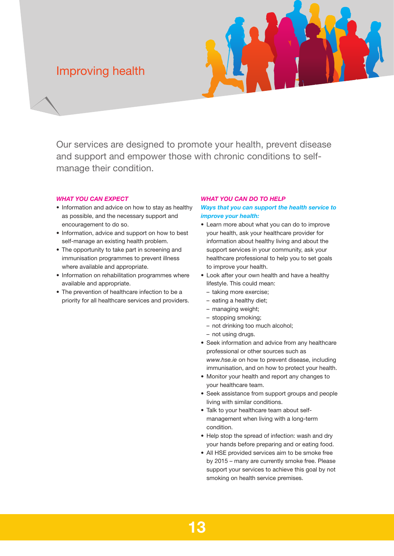# Improving health



Our services are designed to promote your health, prevent disease and support and empower those with chronic conditions to selfmanage their condition.

### *WHAT YOU CAN EXPECT*

- Information and advice on how to stay as healthy as possible, and the necessary support and encouragement to do so.
- Information, advice and support on how to best self-manage an existing health problem.
- The opportunity to take part in screening and immunisation programmes to prevent illness where available and appropriate.
- Information on rehabilitation programmes where available and appropriate.
- The prevention of healthcare infection to be a priority for all healthcare services and providers.

### *WHAT YOU CAN DO TO HELP*

*Ways that you can support the health service to improve your health:*

- • Learn more about what you can do to improve your health, ask your healthcare provider for information about healthy living and about the support services in your community, ask your healthcare professional to help you to set goals to improve your health.
- Look after your own health and have a healthy lifestyle. This could mean:
	- taking more exercise;
	- eating a healthy diet:
	- – managing weight;
	- stopping smoking;
	- not drinking too much alcohol;
	- not using drugs.
- Seek information and advice from any healthcare professional or other sources such as *www.hse.ie* on how to prevent disease, including immunisation, and on how to protect your health.
- Monitor your health and report any changes to your healthcare team.
- Seek assistance from support groups and people living with similar conditions.
- Talk to your healthcare team about selfmanagement when living with a long-term condition.
- Help stop the spread of infection: wash and dry your hands before preparing and or eating food.
- All HSE provided services aim to be smoke free by 2015 – many are currently smoke free. Please support your services to achieve this goal by not smoking on health service premises.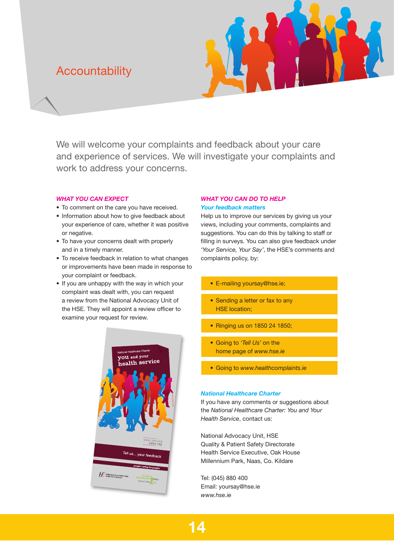# **Accountability**



We will welcome your complaints and feedback about your care and experience of services. We will investigate your complaints and work to address your concerns.

### *WHAT YOU CAN EXPECT*

- To comment on the care you have received.
- Information about how to give feedback about your experience of care, whether it was positive or negative.
- To have your concerns dealt with properly and in a timely manner.
- To receive feedback in relation to what changes or improvements have been made in response to your complaint or feedback.
- If you are unhappy with the way in which your complaint was dealt with, you can request a review from the National Advocacy Unit of the HSE. They will appoint a review officer to examine your request for review.



## *WHAT YOU CAN DO TO HELP Your feedback matters*

Help us to improve our services by giving us your views, including your comments, complaints and suggestions. You can do this by talking to staff or filling in surveys. You can also give feedback under *'Your Service, Your Say'*, the HSE's comments and complaints policy, by:

- E-mailing yoursay@hse.ie;
- Sending a letter or fax to any HSE location;
- Ringing us on 1850 24 1850;
- • Going to *'Tell Us'* on the home page of *www.hse.ie*
- Going to *www.healthcomplaints.ie*

### *National Healthcare Charter*

If you have any comments or suggestions about the *National Healthcare Charter: You and Your Health Service*, contact us:

National Advocacy Unit, HSE Quality & Patient Safety Directorate Health Service Executive, Oak House Millennium Park, Naas, Co. Kildare

Tel: (045) 880 400 Email: yoursay@hse.ie *www.hse.ie*

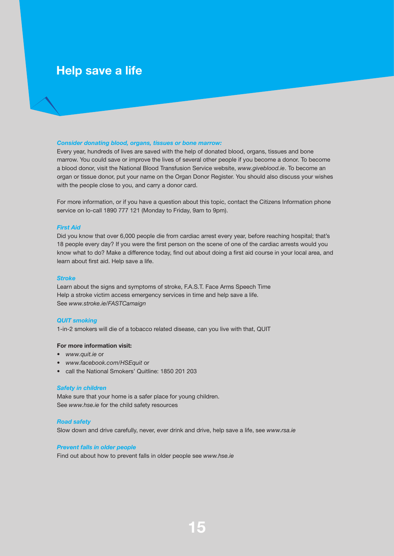# **Help save a life**

### *Consider donating blood, organs, tissues or bone marrow:*

Every year, hundreds of lives are saved with the help of donated blood, organs, tissues and bone marrow. You could save or improve the lives of several other people if you become a donor. To become a blood donor, visit the National Blood Transfusion Service website, *www.giveblood.ie*. To become an organ or tissue donor, put your name on the Organ Donor Register. You should also discuss your wishes with the people close to you, and carry a donor card.

For more information, or if you have a question about this topic, contact the Citizens Information phone service on lo-call 1890 777 121 (Monday to Friday, 9am to 9pm).

### *First Aid*

Did you know that over 6,000 people die from cardiac arrest every year, before reaching hospital; that's 18 people every day? If you were the first person on the scene of one of the cardiac arrests would you know what to do? Make a difference today, find out about doing a first aid course in your local area, and learn about first aid. Help save a life.

#### *Stroke*

Learn about the signs and symptoms of stroke, F.A.S.T. Face Arms Speech Time Help a stroke victim access emergency services in time and help save a life. See *www.stroke.ie/FASTCamaign*

### *QUIT smoking*

1-in-2 smokers will die of a tobacco related disease, can you live with that, QUIT

### **For more information visit:**

- • *www.quit.ie* or
- • *www.facebook.com/HSEquit* or
- call the National Smokers' Quitline: 1850 201 203

#### *Safety in children*

Make sure that your home is a safer place for young children. See *www.hse.ie* for the child safety resources

### *Road safety*

Slow down and drive carefully, never, ever drink and drive, help save a life, see *www.rsa.ie*

### *Prevent falls in older people*

Find out about how to prevent falls in older people see *www.hse.ie*